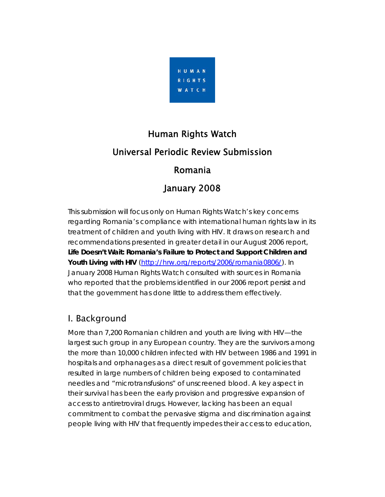

# Human Rights Watch Universal Periodic Review Submission Romania

### January 2008

This submission will focus only on Human Rights Watch's key concerns regarding Romania's compliance with international human rights law in its treatment of children and youth living with HIV. It draws on research and recommendations presented in greater detail in our August 2006 report, *Life Doesn't Wait: Romania's Failure to Protect and Support Children and Youth Living with HIV* [\(http://hrw.org/reports/2006/romania0806/](http://hrw.org/reports/2006/romania0806/)). In January 2008 Human Rights Watch consulted with sources in Romania who reported that the problems identified in our 2006 report persist and that the government has done little to address them effectively.

#### I. Background

More than 7,200 Romanian children and youth are living with HIV—the largest such group in any European country. They are the survivors among the more than 10,000 children infected with HIV between 1986 and 1991 in hospitals and orphanages as a direct result of government policies that resulted in large numbers of children being exposed to contaminated needles and "microtransfusions" of unscreened blood. A key aspect in their survival has been the early provision and progressive expansion of access to antiretroviral drugs. However, lacking has been an equal commitment to combat the pervasive stigma and discrimination against people living with HIV that frequently impedes their access to education,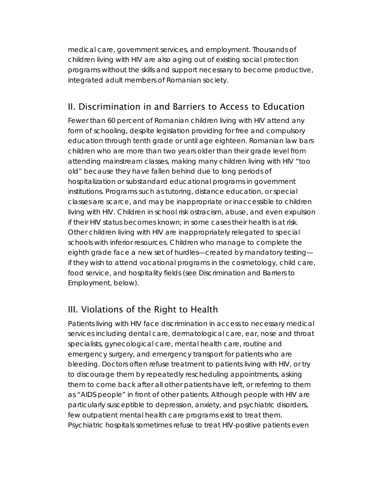medical care, government services, and employment. Thousands of children living with HIV are also aging out of existing social protection programs without the skills and support necessary to become productive, integrated adult members of Romanian society.

#### II. Discrimination in and Barriers to Access to Education

Fewer than 60 percent of Romanian children living with HIV attend any form of schooling, despite legislation providing for free and compulsory education through tenth grade or until age eighteen. Romanian law bars children who are more than two years older than their grade level from attending mainstream classes, making many children living with HIV "too old" because they have fallen behind due to long periods of hospitalization or substandard educational programs in government institutions. Programs such as tutoring, distance education, or special classes are scarce, and may be inappropriate or inaccessible to children living with HIV. Children in school risk ostracism, abuse, and even expulsion if their HIV status becomes known; in some cases their health is at risk. Other children living with HIV are inappropriately relegated to special schools with inferior resources. Children who manage to complete the eighth grade face a new set of hurdles—created by mandatory testing if they wish to attend vocational programs in the cosmetology, child care, food service, and hospitality fields (see Discrimination and Barriers to Employment, below).

#### III. Violations of the Right to Health

Patients living with HIV face discrimination in access to necessary medical services including dental care, dermatological care, ear, nose and throat specialists, gynecological care, mental health care, routine and emergency surgery, and emergency transport for patients who are bleeding. Doctors often refuse treatment to patients living with HIV, or try to discourage them by repeatedly rescheduling appointments, asking them to come back after all other patients have left, or referring to them as "AIDS people" in front of other patients. Although people with HIV are particularly susceptible to depression, anxiety, and psychiatric disorders, few outpatient mental health care programs exist to treat them. Psychiatric hospitals sometimes refuse to treat HIV-positive patients even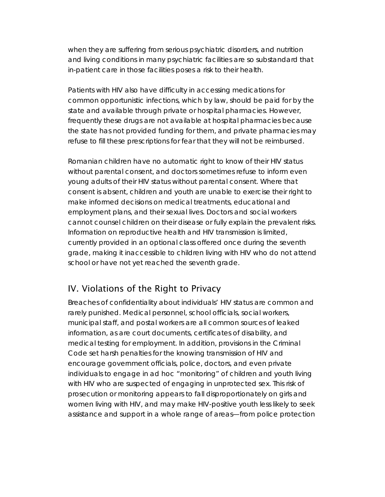when they are suffering from serious psychiatric disorders, and nutrition and living conditions in many psychiatric facilities are so substandard that in-patient care in those facilities poses a risk to their health.

Patients with HIV also have difficulty in accessing medications for common opportunistic infections, which by law, should be paid for by the state and available through private or hospital pharmacies. However, frequently these drugs are not available at hospital pharmacies because the state has not provided funding for them, and private pharmacies may refuse to fill these prescriptions for fear that they will not be reimbursed.

Romanian children have no automatic right to know of their HIV status without parental consent, and doctors sometimes refuse to inform even young adults of their HIV status without parental consent. Where that consent is absent, children and youth are unable to exercise their right to make informed decisions on medical treatments, educational and employment plans, and their sexual lives. Doctors and social workers cannot counsel children on their disease or fully explain the prevalent risks. Information on reproductive health and HIV transmission is limited, currently provided in an optional class offered once during the seventh grade, making it inaccessible to children living with HIV who do not attend school or have not yet reached the seventh grade.

#### IV. Violations of the Right to Privacy

Breaches of confidentiality about individuals' HIV status are common and rarely punished. Medical personnel, school officials, social workers, municipal staff, and postal workers are all common sources of leaked information, as are court documents, certificates of disability, and medical testing for employment. In addition, provisions in the Criminal Code set harsh penalties for the knowing transmission of HIV and encourage government officials, police, doctors, and even private individuals to engage in ad hoc "monitoring" of children and youth living with HIV who are suspected of engaging in unprotected sex. This risk of prosecution or monitoring appears to fall disproportionately on girls and women living with HIV, and may make HIV-positive youth less likely to seek assistance and support in a whole range of areas—from police protection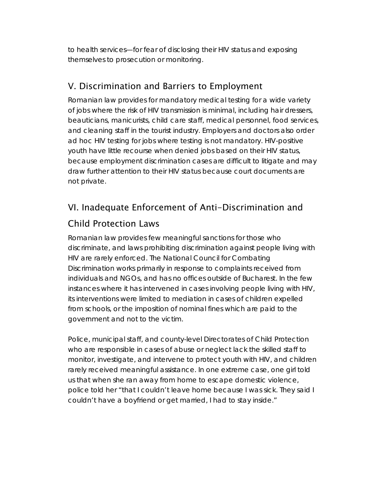to health services—for fear of disclosing their HIV status and exposing themselves to prosecution or monitoring.

#### V. Discrimination and Barriers to Employment

Romanian law provides for mandatory medical testing for a wide variety of jobs where the risk of HIV transmission is minimal, including hair dressers, beauticians, manicurists, child care staff, medical personnel, food services, and cleaning staff in the tourist industry. Employers and doctors also order ad hoc HIV testing for jobs where testing is not mandatory. HIV-positive youth have little recourse when denied jobs based on their HIV status, because employment discrimination cases are difficult to litigate and may draw further attention to their HIV status because court documents are not private.

# VI. Inadequate Enforcement of Anti-Discrimination and

#### Child Protection Laws

Romanian law provides few meaningful sanctions for those who discriminate, and laws prohibiting discrimination against people living with HIV are rarely enforced. The National Council for Combating Discrimination works primarily in response to complaints received from individuals and NGOs, and has no offices outside of Bucharest. In the few instances where it has intervened in cases involving people living with HIV, its interventions were limited to mediation in cases of children expelled from schools, or the imposition of nominal fines which are paid to the government and not to the victim.

Police, municipal staff, and county-level Directorates of Child Protection who are responsible in cases of abuse or neglect lack the skilled staff to monitor, investigate, and intervene to protect youth with HIV, and children rarely received meaningful assistance. In one extreme case, one girl told us that when she ran away from home to escape domestic violence, police told her "that I couldn't leave home because I was sick. They said I couldn't have a boyfriend or get married, I had to stay inside."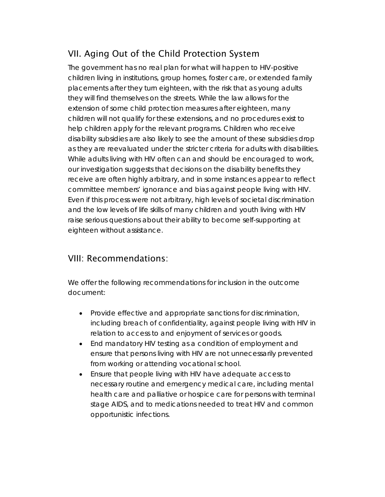## VII. Aging Out of the Child Protection System

The government has no real plan for what will happen to HIV-positive children living in institutions, group homes, foster care, or extended family placements after they turn eighteen, with the risk that as young adults they will find themselves on the streets. While the law allows for the extension of some child protection measures after eighteen, many children will not qualify for these extensions, and no procedures exist to help children apply for the relevant programs. Children who receive disability subsidies are also likely to see the amount of these subsidies drop as they are reevaluated under the stricter criteria for adults with disabilities. While adults living with HIV often can and should be encouraged to work, our investigation suggests that decisions on the disability benefits they receive are often highly arbitrary, and in some instances appear to reflect committee members' ignorance and bias against people living with HIV. Even if this process were not arbitrary, high levels of societal discrimination and the low levels of life skills of many children and youth living with HIV raise serious questions about their ability to become self-supporting at eighteen without assistance.

#### VIII: Recommendations:

We offer the following recommendations for inclusion in the outcome document:

- Provide effective and appropriate sanctions for discrimination, including breach of confidentiality, against people living with HIV in relation to access to and enjoyment of services or goods.
- End mandatory HIV testing as a condition of employment and ensure that persons living with HIV are not unnecessarily prevented from working or attending vocational school.
- Ensure that people living with HIV have adequate access to necessary routine and emergency medical care, including mental health care and palliative or hospice care for persons with terminal stage AIDS, and to medications needed to treat HIV and common opportunistic infections.